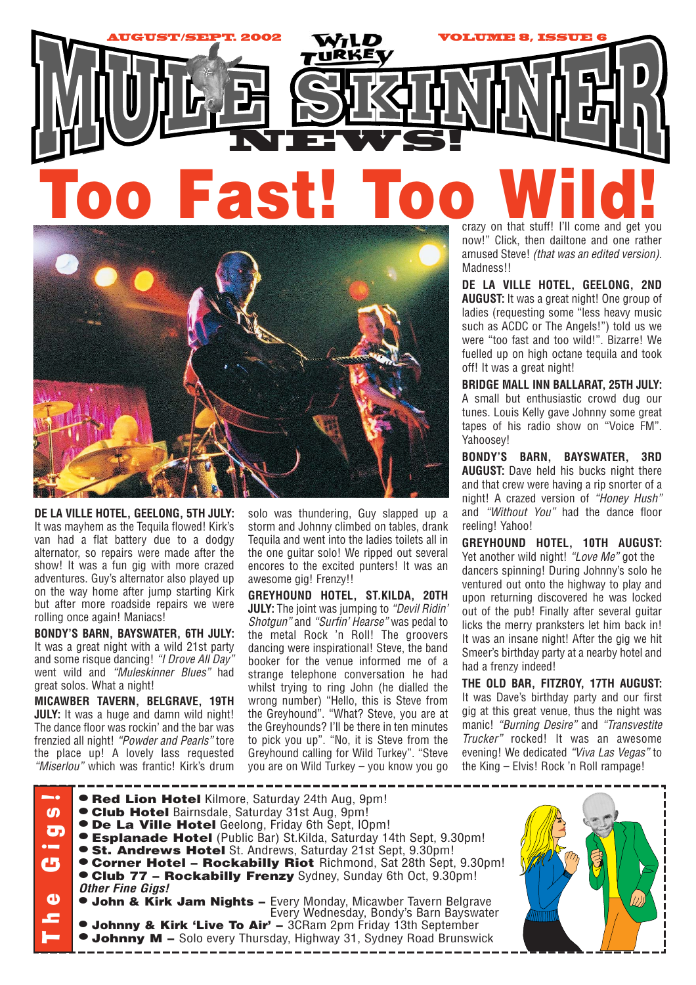



**DE LA VILLE HOTEL, GEELONG, 5TH JULY:** It was mayhem as the Tequila flowed! Kirk's van had a flat battery due to a dodgy alternator, so repairs were made after the show! It was a fun gig with more crazed adventures. Guy's alternator also played up on the way home after jump starting Kirk but after more roadside repairs we were rolling once again! Maniacs!

**BONDY'S BARN, BAYSWATER, 6TH JULY:** It was a great night with a wild 21st party and some risque dancing! *"I Drove All Day"* went wild and *"Muleskinner Blues"* had great solos. What a night!

**MICAWBER TAVERN, BELGRAVE, 19TH JULY:** It was a huge and damn wild night! The dance floor was rockin' and the bar was frenzied all night! *"Powder and Pearls"* tore the place up! A lovely lass requested *"Miserlou"* which was frantic! Kirk's drum solo was thundering, Guy slapped up a storm and Johnny climbed on tables, drank Tequila and went into the ladies toilets all in the one guitar solo! We ripped out several encores to the excited punters! It was an awesome gig! Frenzy!!

**GREYHOUND HOTEL, ST.KILDA, 20TH JULY:** The joint was jumping to *"Devil Ridin' Shotgun"* and *"Surfin' Hearse"* was pedal to the metal Rock 'n Roll! The groovers dancing were inspirational! Steve, the band booker for the venue informed me of a strange telephone conversation he had whilst trying to ring John (he dialled the wrong number) "Hello, this is Steve from the Greyhound". "What? Steve, you are at the Greyhounds? I'll be there in ten minutes to pick you up". "No, it is Steve from the Greyhound calling for Wild Turkey". "Steve you are on Wild Turkey – you know you go

now!" Click, then dailtone and one rather amused Steve! *(that was an edited version).* Madness!!

**DE LA VILLE HOTEL, GEELONG, 2ND AUGUST:** It was a great night! One group of ladies (requesting some "less heavy music such as ACDC or The Angels!") told us we were "too fast and too wild!". Bizarre! We fuelled up on high octane tequila and took off! It was a great night!

**BRIDGE MALL INN BALLARAT, 25TH JULY:** A small but enthusiastic crowd dug our tunes. Louis Kelly gave Johnny some great tapes of his radio show on "Voice FM". Yahoosey!

**BONDY'S BARN, BAYSWATER, 3RD AUGUST:** Dave held his bucks night there and that crew were having a rip snorter of a night! A crazed version of *"Honey Hush"* and *"Without You"* had the dance floor reeling! Yahoo!

**GREYHOUND HOTEL, 10TH AUGUST:** Yet another wild night! *"Love Me"* got the dancers spinning! During Johnny's solo he ventured out onto the highway to play and upon returning discovered he was locked out of the pub! Finally after several guitar licks the merry pranksters let him back in! It was an insane night! After the gig we hit Smeer's birthday party at a nearby hotel and had a frenzy indeed!

**THE OLD BAR, FITZROY, 17TH AUGUST:** It was Dave's birthday party and our first gig at this great venue, thus the night was manic! *"Burning Desire"* and *"Transvestite Trucker"* rocked! It was an awesome evening! We dedicated *"Viva Las Vegas"* to the King – Elvis! Rock 'n Roll rampage!